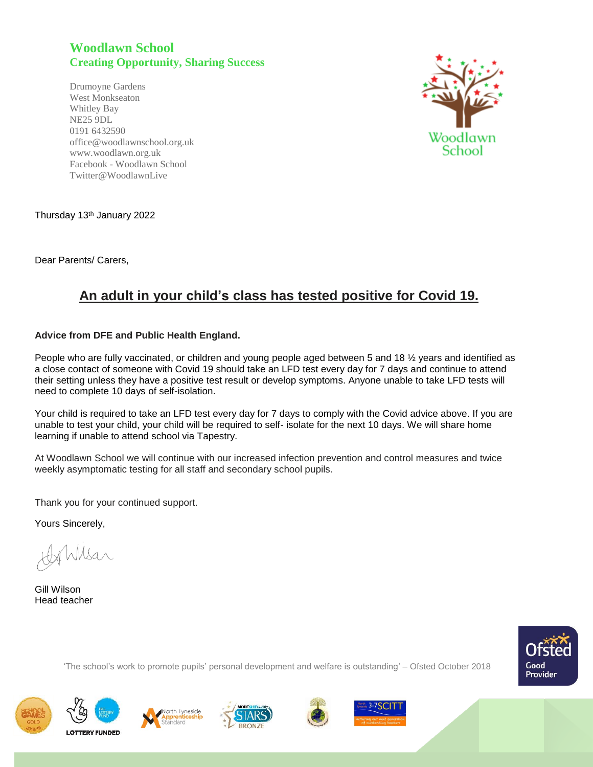## **Woodlawn School Creating Opportunity, Sharing Success**

Drumoyne Gardens West Monkseaton Whitley Bay NE25 9DL 0191 6432590 office@woodlawnschool.org.uk [www.woodlawn.](http://www.woodlawn/)org.uk Facebook - Woodlawn School Twitter@WoodlawnLive



Thursday 13th January 2022

Dear Parents/ Carers,

## **An adult in your child's class has tested positive for Covid 19.**

## **Advice from DFE and Public Health England.**

People who are fully vaccinated, or children and young people aged between 5 and 18 ½ years and identified as a close contact of someone with Covid 19 should take an LFD test every day for 7 days and continue to attend their setting unless they have a positive test result or develop symptoms. Anyone unable to take LFD tests will need to complete 10 days of self-isolation.

Your child is required to take an LFD test every day for 7 days to comply with the Covid advice above. If you are unable to test your child, your child will be required to self- isolate for the next 10 days. We will share home learning if unable to attend school via Tapestry.

At Woodlawn School we will continue with our increased infection prevention and control measures and twice weekly asymptomatic testing for all staff and secondary school pupils.

Thank you for your continued support.

Yours Sincerely,

Wilsar

Gill Wilson Head teacher



'The school's work to promote pupils' personal development and welfare is outstanding' – Ofsted October 2018